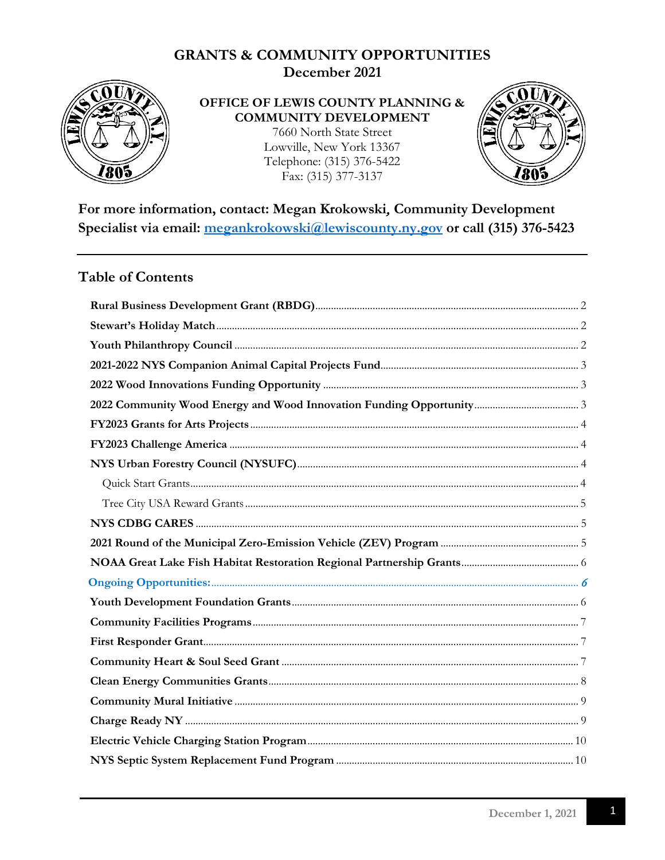

#### OFFICE OF LEWIS COUNTY PLANNING & **COMMUNITY DEVELOPMENT**

7660 North State Street Lowville, New York 13367 Telephone: (315) 376-5422 Fax: (315) 377-3137



For more information, contact: Megan Krokowski, Community Development Specialist via email: megankrokowski@lewiscounty.ny.gov or call (315) 376-5423

#### **Table of Contents**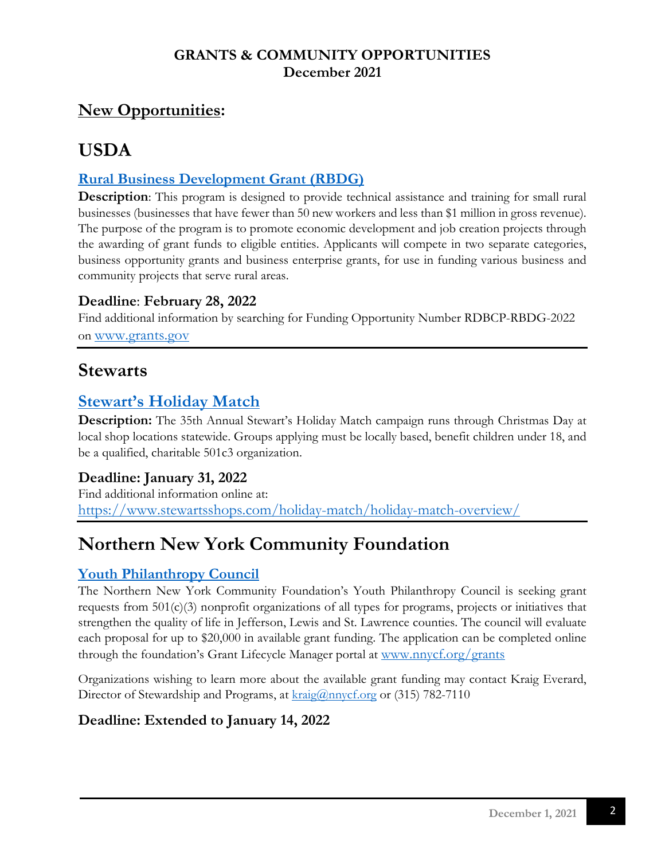## **New Opportunities:**

# **USDA**

## <span id="page-1-0"></span>**[Rural Business Development Grant \(RBDG\)](https://www.grants.gov/web/grants/search-grants.html)**

**Description**: This program is designed to provide technical assistance and training for small rural businesses (businesses that have fewer than 50 new workers and less than \$1 million in gross revenue). The purpose of the program is to promote economic development and job creation projects through the awarding of grant funds to eligible entities. Applicants will compete in two separate categories, business opportunity grants and business enterprise grants, for use in funding various business and community projects that serve rural areas.

### **Deadline**: **February 28, 2022**

Find additional information by searching for Funding Opportunity Number RDBCP-RBDG-2022 on [www.grants.gov](http://www.grants.gov/)

## **Stewarts**

## <span id="page-1-1"></span>**[Stewart's Holiday Match](https://www.stewartsshops.com/holiday-match/holiday-match-overview/)**

**Description:** The 35th Annual Stewart's Holiday Match campaign runs through Christmas Day at local shop locations statewide. Groups applying must be locally based, benefit children under 18, and be a qualified, charitable 501c3 organization.

### **Deadline: January 31, 2022**

Find additional information online at: <https://www.stewartsshops.com/holiday-match/holiday-match-overview/>

# **Northern New York Community Foundation**

## <span id="page-1-2"></span>**[Youth Philanthropy Council](https://www.nnycf.org/)**

The Northern New York Community Foundation's Youth Philanthropy Council is seeking grant requests from 501(c)(3) nonprofit organizations of all types for programs, projects or initiatives that strengthen the quality of life in Jefferson, Lewis and St. Lawrence counties. The council will evaluate each proposal for up to \$20,000 in available grant funding. The application can be completed online through the foundation's Grant Lifecycle Manager portal at [www.nnycf.org/grants](http://www.nnycf.org/grants)

Organizations wishing to learn more about the available grant funding may contact Kraig Everard, Director of Stewardship and Programs, at  $\frac{\text{kraig}(a)$ nnycf.org or (315) 782-7110

## **Deadline: Extended to January 14, 2022**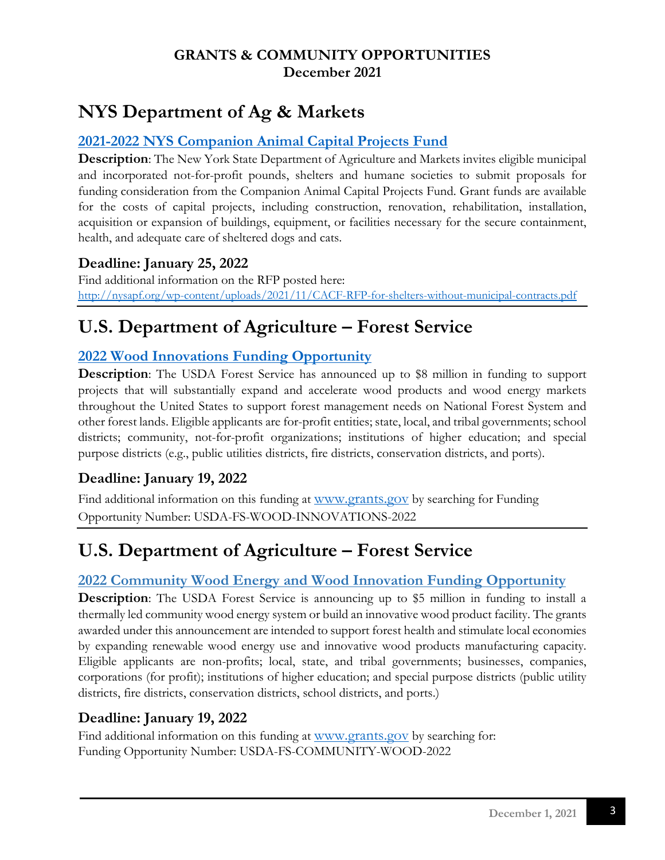# **NYS Department of Ag & Markets**

#### <span id="page-2-0"></span>**[2021-2022 NYS Companion Animal Capital Projects Fund](http://nysapf.org/wp-content/uploads/2021/11/CACF-RFP-for-shelters-without-municipal-contracts.pdf)**

**Description**: The New York State Department of Agriculture and Markets invites eligible municipal and incorporated not-for-profit pounds, shelters and humane societies to submit proposals for funding consideration from the Companion Animal Capital Projects Fund. Grant funds are available for the costs of capital projects, including construction, renovation, rehabilitation, installation, acquisition or expansion of buildings, equipment, or facilities necessary for the secure containment, health, and adequate care of sheltered dogs and cats.

### **Deadline: January 25, 2022**

Find additional information on the RFP posted here: <http://nysapf.org/wp-content/uploads/2021/11/CACF-RFP-for-shelters-without-municipal-contracts.pdf>

# **U.S. Department of Agriculture – Forest Service**

## <span id="page-2-1"></span>**[2022 Wood Innovations Funding Opportunity](https://www.grants.gov/web/grants/search-grants.html?keywords=wood%20innovations)**

**Description**: The USDA Forest Service has announced up to \$8 million in funding to support projects that will substantially expand and accelerate wood products and wood energy markets throughout the United States to support forest management needs on National Forest System and other forest lands. Eligible applicants are for-profit entities; state, local, and tribal governments; school districts; community, not-for-profit organizations; institutions of higher education; and special purpose districts (e.g., public utilities districts, fire districts, conservation districts, and ports).

### **Deadline: January 19, 2022**

Find additional information on this funding at [www.grants.gov](http://www.grants.gov/) by searching for Funding Opportunity Number: USDA-FS-WOOD-INNOVATIONS-2022

# **U.S. Department of Agriculture – Forest Service**

### <span id="page-2-2"></span>**2022 Community Wood Energy and Wood Innovation Funding Opportunity**

**Description**: The USDA Forest Service is announcing up to \$5 million in funding to install a thermally led community wood energy system or build an innovative wood product facility. The grants awarded under this announcement are intended to support forest health and stimulate local economies by expanding renewable wood energy use and innovative wood products manufacturing capacity. Eligible applicants are non-profits; local, state, and tribal governments; businesses, companies, corporations (for profit); institutions of higher education; and special purpose districts (public utility districts, fire districts, conservation districts, school districts, and ports.)

### **Deadline: January 19, 2022**

Find additional information on this funding at [www.grants.gov](http://www.grants.gov/) by searching for: Funding Opportunity Number: USDA-FS-COMMUNITY-WOOD-2022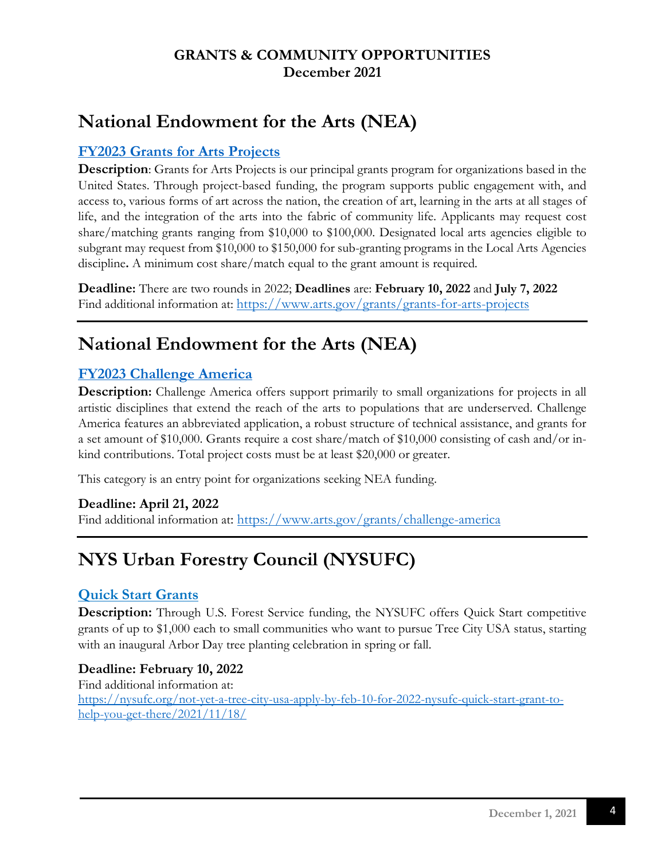# **National Endowment for the Arts (NEA)**

## <span id="page-3-0"></span>**[FY2023 Grants for Arts Projects](https://www.arts.gov/grants/grants-for-arts-projects)**

**Description**: Grants for Arts Projects is our principal grants program for organizations based in the United States. Through project-based funding, the program supports public engagement with, and access to, various forms of art across the nation, the creation of art, learning in the arts at all stages of life, and the integration of the arts into the fabric of community life. Applicants may request cost share/matching grants ranging from \$10,000 to \$100,000. Designated local arts agencies eligible to subgrant may request from \$10,000 to \$150,000 for sub-granting programs in the Local Arts Agencies discipline**.** A minimum cost share/match equal to the grant amount is required.

**Deadline:** There are two rounds in 2022; **Deadlines** are: **February 10, 2022** and **July 7, 2022** Find additional information at: <https://www.arts.gov/grants/grants-for-arts-projects>

# **National Endowment for the Arts (NEA)**

## <span id="page-3-1"></span>**[FY2023 Challenge America](https://www.arts.gov/grants/challenge-america)**

**Description:** Challenge America offers support primarily to small organizations for projects in all artistic disciplines that extend the reach of the arts to populations that are underserved. Challenge America features an abbreviated application, a robust structure of technical assistance, and grants for a set amount of \$10,000. Grants require a cost share/match of \$10,000 consisting of cash and/or inkind contributions. Total project costs must be at least \$20,000 or greater.

This category is an entry point for organizations seeking NEA funding.

#### **Deadline: April 21, 2022**

Find additional information at:<https://www.arts.gov/grants/challenge-america>

# <span id="page-3-2"></span>**[NYS Urban Forestry Council \(NYSUFC\)](https://nysufc.org/grants/)**

#### <span id="page-3-3"></span>**Quick Start Grants**

**Description:** Through U.S. Forest Service funding, the NYSUFC offers Quick Start competitive grants of up to \$1,000 each to small communities who want to pursue Tree City USA status, starting with an inaugural Arbor Day tree planting celebration in spring or fall.

#### **Deadline: February 10, 2022**

<span id="page-3-4"></span>Find additional information at: [https://nysufc.org/not-yet-a-tree-city-usa-apply-by-feb-10-for-2022-nysufc-quick-start-grant-to](https://nysufc.org/not-yet-a-tree-city-usa-apply-by-feb-10-for-2022-nysufc-quick-start-grant-to-help-you-get-there/2021/11/18/)[help-you-get-there/2021/11/18/](https://nysufc.org/not-yet-a-tree-city-usa-apply-by-feb-10-for-2022-nysufc-quick-start-grant-to-help-you-get-there/2021/11/18/)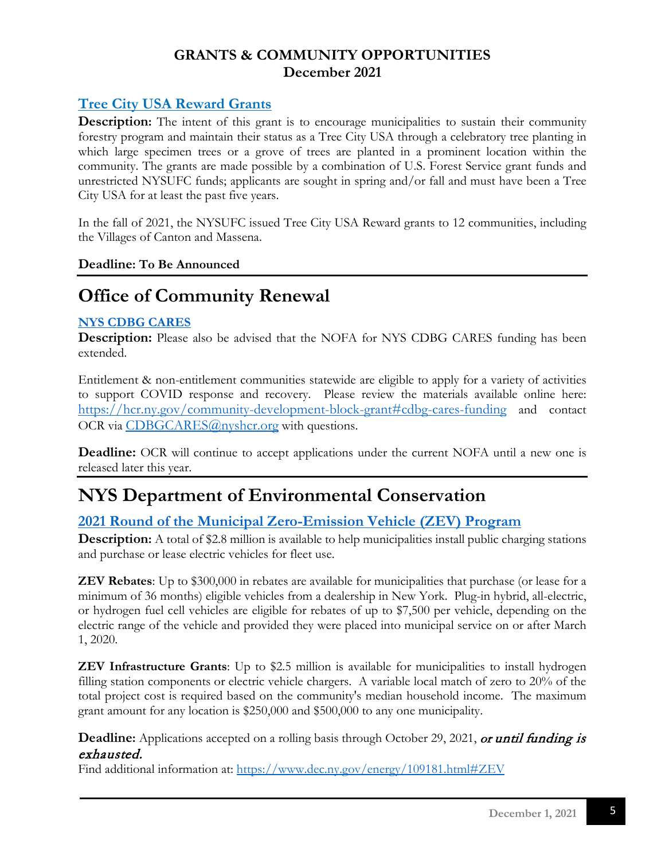### **Tree City USA Reward Grants**

**Description:** The intent of this grant is to encourage municipalities to sustain their community forestry program and maintain their status as a Tree City USA through a celebratory tree planting in which large specimen trees or a grove of trees are planted in a prominent location within the community. The grants are made possible by a combination of U.S. Forest Service grant funds and unrestricted NYSUFC funds; applicants are sought in spring and/or fall and must have been a Tree City USA for at least the past five years.

In the fall of 2021, the NYSUFC issued Tree City USA Reward grants to 12 communities, including the Villages of Canton and Massena.

#### **Deadline: To Be Announced**

## **Office of Community Renewal**

#### <span id="page-4-0"></span>**[NYS CDBG CARES](https://hcr.ny.gov/community-development-block-grant#cdbg-cares-fundin)**

**Description:** Please also be advised that the NOFA for NYS CDBG CARES funding has been extended.

Entitlement & non-entitlement communities statewide are eligible to apply for a variety of activities to support COVID response and recovery. Please review the materials available online here: <https://hcr.ny.gov/community-development-block-grant#cdbg-cares-funding> and contact OCR via [CDBGCARES@nyshcr.org](mailto:CDBGCARES@nyshcr.org) with questions.

**Deadline:** OCR will continue to accept applications under the current NOFA until a new one is released later this year.

## **NYS Department of Environmental Conservation**

### <span id="page-4-1"></span>**[2021 Round of the Municipal Zero-Emission Vehicle \(ZEV\) Program](https://www.dec.ny.gov/energy/109181.html#ZEV)**

**Description:** A total of \$2.8 million is available to help municipalities install public charging stations and purchase or lease electric vehicles for fleet use.

**ZEV Rebates**: Up to \$300,000 in rebates are available for municipalities that purchase (or lease for a minimum of 36 months) eligible vehicles from a dealership in New York. Plug-in hybrid, all-electric, or hydrogen fuel cell vehicles are eligible for rebates of up to \$7,500 per vehicle, depending on the electric range of the vehicle and provided they were placed into municipal service on or after March 1, 2020.

**ZEV Infrastructure Grants**: Up to \$2.5 million is available for municipalities to install hydrogen filling station components or electric vehicle chargers. A variable local match of zero to 20% of the total project cost is required based on the community's median household income. The maximum grant amount for any location is \$250,000 and \$500,000 to any one municipality.

**Deadline:** Applications accepted on a rolling basis through October 29, 2021, or until funding is exhausted.

Find additional information at: <https://www.dec.ny.gov/energy/109181.html#ZEV>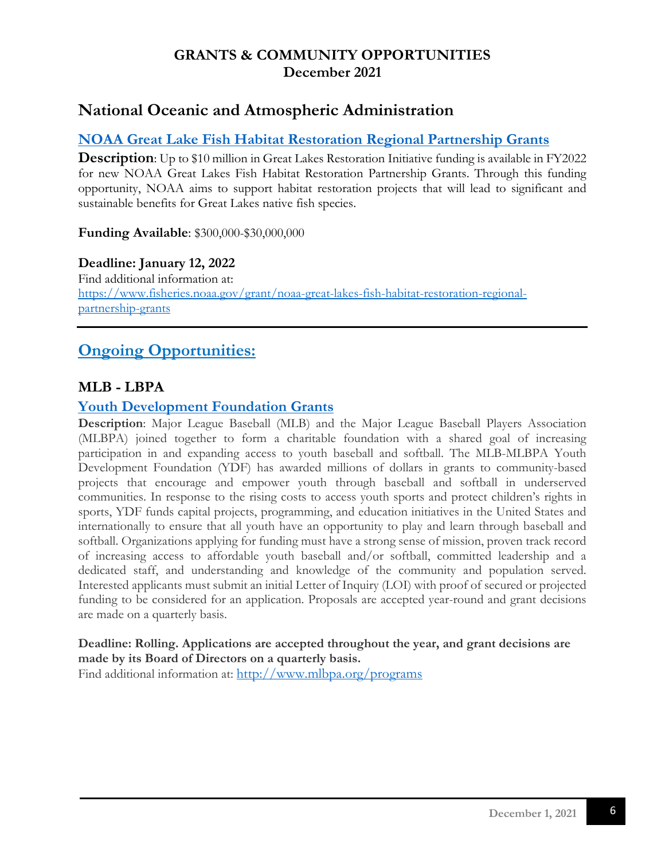## **National Oceanic and Atmospheric Administration**

### <span id="page-5-0"></span>**[NOAA Great Lake Fish Habitat Restoration Regional Partnership Grants](https://www.fisheries.noaa.gov/grant/noaa-great-lakes-fish-habitat-restoration-regional-partnership-grants)**

**Description**: Up to \$10 million in Great Lakes Restoration Initiative funding is available in FY2022 for new NOAA Great Lakes Fish Habitat Restoration Partnership Grants. Through this funding opportunity, NOAA aims to support habitat restoration projects that will lead to significant and sustainable benefits for Great Lakes native fish species.

#### **Funding Available**: \$300,000-\$30,000,000

#### **Deadline: January 12, 2022**

Find additional information at: [https://www.fisheries.noaa.gov/grant/noaa-great-lakes-fish-habitat-restoration-regional](https://www.fisheries.noaa.gov/grant/noaa-great-lakes-fish-habitat-restoration-regional-partnership-grants)[partnership-grants](https://www.fisheries.noaa.gov/grant/noaa-great-lakes-fish-habitat-restoration-regional-partnership-grants)

## <span id="page-5-1"></span>**Ongoing Opportunities:**

#### **MLB - LBPA**

#### <span id="page-5-2"></span>**[Youth Development Foundation Grants](http://www.mlbpa.org/programs)**

**Description**: Major League Baseball (MLB) and the Major League Baseball Players Association (MLBPA) joined together to form a charitable foundation with a shared goal of increasing participation in and expanding access to youth baseball and softball. The MLB-MLBPA Youth Development Foundation (YDF) has awarded millions of dollars in grants to community-based projects that encourage and empower youth through baseball and softball in underserved communities. In response to the rising costs to access youth sports and protect children's rights in sports, YDF funds capital projects, programming, and education initiatives in the United States and internationally to ensure that all youth have an opportunity to play and learn through baseball and softball. Organizations applying for funding must have a strong sense of mission, proven track record of increasing access to affordable youth baseball and/or softball, committed leadership and a dedicated staff, and understanding and knowledge of the community and population served. Interested applicants must submit an initial Letter of Inquiry (LOI) with proof of secured or projected funding to be considered for an application. Proposals are accepted year-round and grant decisions are made on a quarterly basis.

#### **Deadline: Rolling. Applications are accepted throughout the year, and grant decisions are made by its Board of Directors on a quarterly basis.**

Find additional information at:<http://www.mlbpa.org/programs>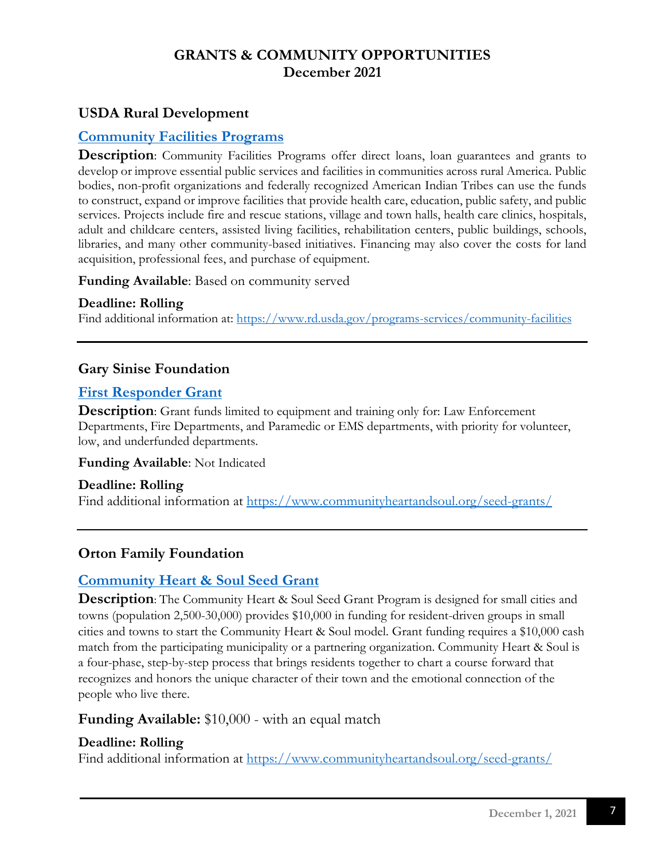### **USDA Rural Development**

#### <span id="page-6-0"></span>**[Community Facilities Programs](https://www.rd.usda.gov/programs-services/all-programs/community-facilities-programs)**

**Description**: Community Facilities Programs offer direct loans, loan guarantees and grants to develop or improve essential public services and facilities in communities across rural America. Public bodies, non-profit organizations and federally recognized American Indian Tribes can use the funds to construct, expand or improve facilities that provide health care, education, public safety, and public services. Projects include fire and rescue stations, village and town halls, health care clinics, hospitals, adult and childcare centers, assisted living facilities, rehabilitation centers, public buildings, schools, libraries, and many other community-based initiatives. Financing may also cover the costs for land acquisition, professional fees, and purchase of equipment.

**Funding Available**: Based on community served

#### **Deadline: Rolling**

Find additional information at: <https://www.rd.usda.gov/programs-services/community-facilities>

#### **Gary Sinise Foundation**

#### <span id="page-6-1"></span>**[First Responder Grant](https://www.garysinisefoundation.org/first-responders-outreach/)**

**Description**: Grant funds limited to equipment and training only for: Law Enforcement Departments, Fire Departments, and Paramedic or EMS departments, with priority for volunteer, low, and underfunded departments.

**Funding Available**: Not Indicated

**Deadline: Rolling** Find additional information at<https://www.communityheartandsoul.org/seed-grants/>

### **Orton Family Foundation**

#### <span id="page-6-2"></span>**[Community Heart & Soul Seed Grant](https://www.communityheartandsoul.org/seed-grants/)**

**Description**: The Community Heart & Soul Seed Grant Program is designed for small cities and towns (population 2,500-30,000) provides \$10,000 in funding for resident-driven groups in small cities and towns to start the Community Heart & Soul model. Grant funding requires a \$10,000 cash match from the participating municipality or a partnering organization. Community Heart & Soul is a four-phase, step-by-step process that brings residents together to chart a course forward that recognizes and honors the unique character of their town and the emotional connection of the people who live there.

#### **Funding Available:** \$10,000 - with an equal match

#### **Deadline: Rolling**

Find additional information at<https://www.communityheartandsoul.org/seed-grants/>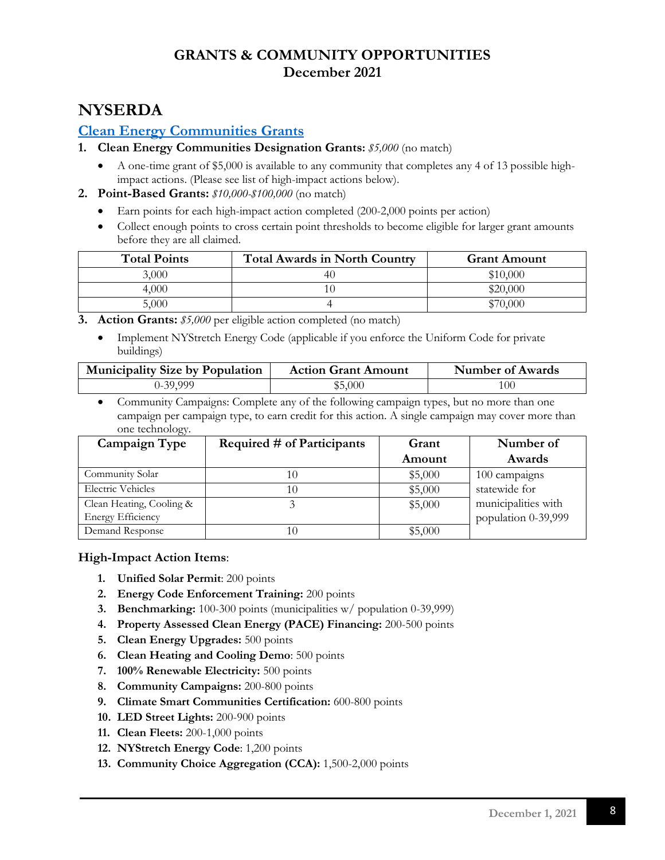## **NYSERDA**

#### <span id="page-7-0"></span>**[Clean Energy Communities Grants](https://www.nyserda.ny.gov/All-Programs/Programs/Clean-Energy-Communities)**

- **1. Clean Energy Communities Designation Grants:** *\$5,000* (no match)
	- A one-time grant of \$5,000 is available to any community that completes any 4 of 13 possible highimpact actions. (Please see list of high-impact actions below).
- **2. Point-Based Grants:** *\$10,000-\$100,000* (no match)
	- Earn points for each high-impact action completed (200-2,000 points per action)
	- Collect enough points to cross certain point thresholds to become eligible for larger grant amounts before they are all claimed.

| <b>Total Points</b> | <b>Total Awards in North Country</b> | <b>Grant Amount</b> |
|---------------------|--------------------------------------|---------------------|
| 3,000               |                                      | \$10,000            |
| 4,000               |                                      | \$20,000            |
| 5.000               |                                      | \$70.000            |

**3. Action Grants:** *\$5,000* per eligible action completed (no match)

• Implement NYStretch Energy Code (applicable if you enforce the Uniform Code for private buildings)

| <b>Municipality Size by Population</b> | <b>Action Grant Amount</b> | Number of Awards |
|----------------------------------------|----------------------------|------------------|
| J-39,999                               | \$5,000                    | 100              |

• Community Campaigns: Complete any of the following campaign types, but no more than one campaign per campaign type, to earn credit for this action. A single campaign may cover more than one technology.

| Campaign Type            | Required # of Participants | Grant   | Number of           |
|--------------------------|----------------------------|---------|---------------------|
|                          |                            | Amount  | Awards              |
| Community Solar          |                            | \$5,000 | 100 campaigns       |
| Electric Vehicles        |                            | \$5,000 | statewide for       |
| Clean Heating, Cooling & |                            | \$5,000 | municipalities with |
| <b>Energy Efficiency</b> |                            |         | population 0-39,999 |
| Demand Response          |                            | \$5,000 |                     |

#### **High-Impact Action Items**:

- **1. Unified Solar Permit**: 200 points
- **2. Energy Code Enforcement Training:** 200 points
- **3. Benchmarking:** 100-300 points (municipalities w/ population 0-39,999)
- **4. Property Assessed Clean Energy (PACE) Financing:** 200-500 points
- **5. Clean Energy Upgrades:** 500 points
- **6. Clean Heating and Cooling Demo**: 500 points
- **7. 100% Renewable Electricity:** 500 points
- **8. Community Campaigns:** 200-800 points
- **9. Climate Smart Communities Certification:** 600-800 points
- **10. LED Street Lights:** 200-900 points
- **11. Clean Fleets:** 200-1,000 points
- **12. NYStretch Energy Code**: 1,200 points
- **13. Community Choice Aggregation (CCA):** 1,500-2,000 points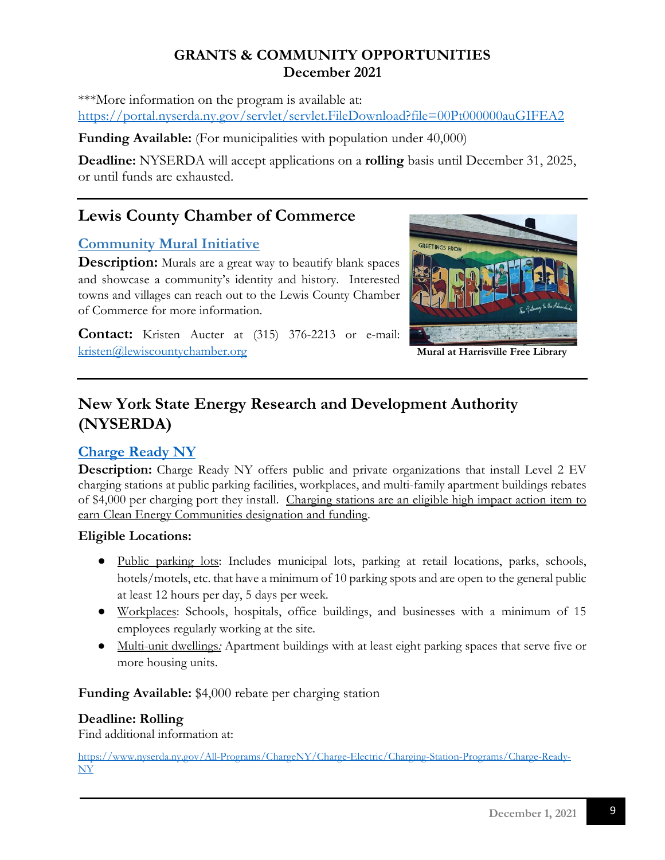\*\*\*More information on the program is available at: <https://portal.nyserda.ny.gov/servlet/servlet.FileDownload?file=00Pt000000auGIFEA2>

**Funding Available:** (For municipalities with population under 40,000)

**Deadline:** NYSERDA will accept applications on a **rolling** basis until December 31, 2025, or until funds are exhausted.

## **[Lewis County Chamber of Commerce](https://adirondackstughill.com/)**

### <span id="page-8-0"></span>**Community Mural Initiative**

**Description:** Murals are a great way to beautify blank spaces and showcase a community's identity and history. Interested towns and villages can reach out to the Lewis County Chamber of Commerce for more information.

**Contact:** Kristen Aucter at (315) 376-2213 or e-mail: [kristen@lewiscountychamber.org](mailto:kristen@lewiscountychamber.org) **Mural at Harrisville Free Library**



## **New York State Energy Research and Development Authority (NYSERDA)**

## <span id="page-8-1"></span>**[Charge Ready NY](https://www.nyserda.ny.gov/All-Programs/Programs/ChargeNY/Charge-Electric/Charging-Station-Programs/Charge-Ready-NY)**

**Description:** Charge Ready NY offers public and private organizations that install Level 2 EV charging stations at public parking facilities, workplaces, and multi-family apartment buildings rebates of \$4,000 per charging port they install.Charging stations are an eligible high impact action item to earn Clean Energy Communities designation and funding.

#### **Eligible Locations:**

- Public parking lots: Includes municipal lots, parking at retail locations, parks, schools, hotels/motels, etc. that have a minimum of 10 parking spots and are open to the general public at least 12 hours per day, 5 days per week.
- Workplaces: Schools, hospitals, office buildings, and businesses with a minimum of 15 employees regularly working at the site.
- Multi-unit dwellings*:* Apartment buildings with at least eight parking spaces that serve five or more housing units.

**Funding Available:** \$4,000 rebate per charging station

#### **Deadline: Rolling**

Find additional information at:

[https://www.nyserda.ny.gov/All-Programs/ChargeNY/Charge-Electric/Charging-Station-Programs/Charge-Ready-](https://www.nyserda.ny.gov/All-Programs/ChargeNY/Charge-Electric/Charging-Station-Programs/Charge-Ready-NY)[NY](https://www.nyserda.ny.gov/All-Programs/ChargeNY/Charge-Electric/Charging-Station-Programs/Charge-Ready-NY)